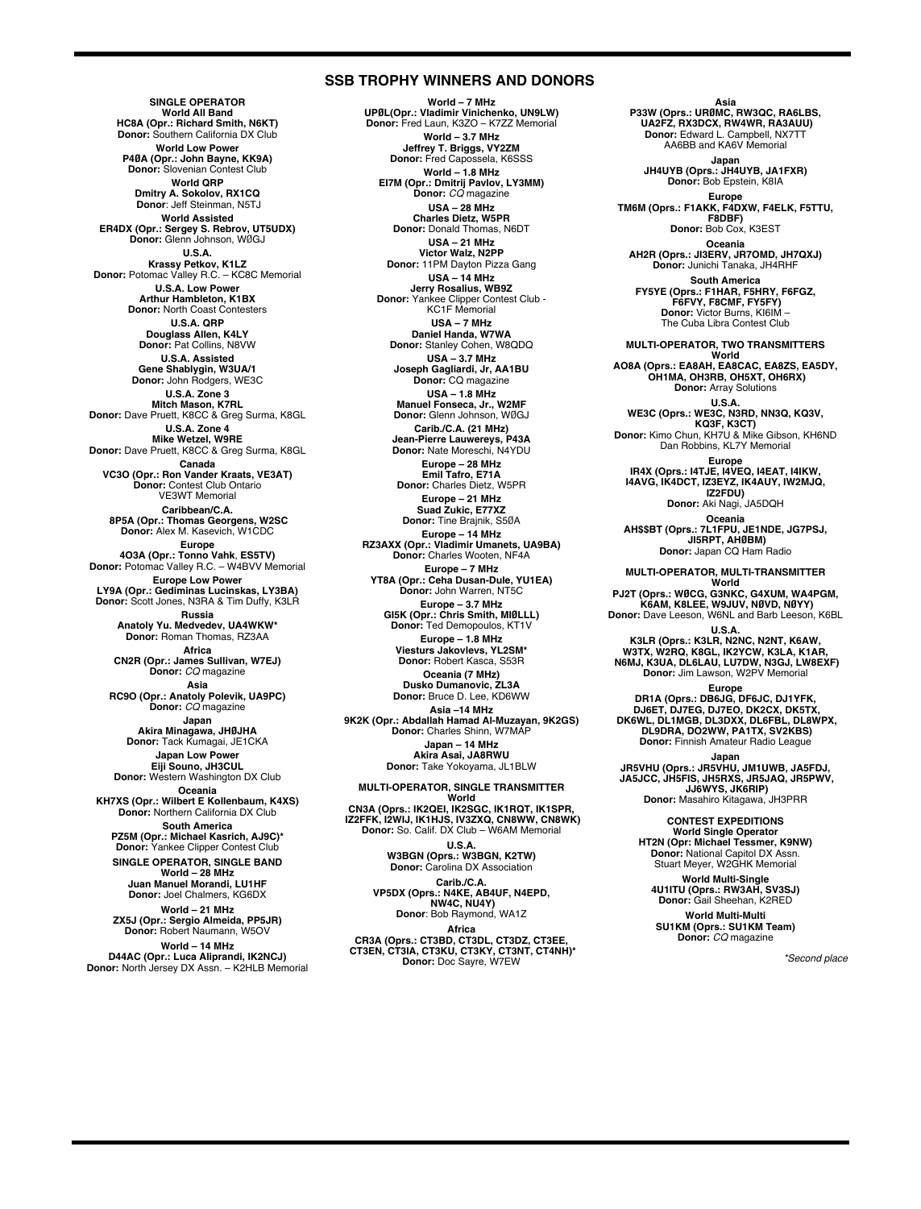#### **SSB TROPHY WINNERS AND DONORS**

**SINGLE OPERATOR World All Band HC8A (Opr.: Richard Smith, N6KT) Donor:** Southern California DX Club **World Low Power P4ØA (Opr.: John Bayne, KK9A) Donor:** Slovenian Contest Club **World QRP Dmitry A. Sokolov, RX1CQ Donor**: Jeff Steinman, N5TJ **World Assisted ER4DX (Opr.: Sergey S. Rebrov, UT5UDX) Donor:** Glenn Johnson, WØGJ **U.S.A. Krassy Petkov, K1LZ Donor:** Potomac Valley R.C. – KC8C Memorial **U.S.A. Low Power Arthur Hambleton, K1BX Donor:** North Coast Contesters **U.S.A. QRP Douglass Allen, K4LY Donor:** Pat Collins, N8VW **U.S.A. Assisted Gene Shablygin, W3UA/1 Donor:** John Rodgers, WE3C **U.S.A. Zone 3 Mitch Mason, K7RL Donor:** Dave Pruett, K8CC & Greg Surma, K8GL **U.S.A. Zone 4 Mike Wetzel, W9RE Donor:** Dave Pruett, K8CC & Greg Surma, K8GL **Canada VC3O (Opr.: Ron Vander Kraats, VE3AT) Donor:** Contest Club Ontario VE3WT Memorial **Caribbean/C.A. 8P5A (Opr.: Thomas Georgens, W2SC Donor:** Alex M. Kasevich, W1CDC **Europe 4O3A (Opr.: Tonno Vahk**, **ES5TV) Donor:** Potomac Valley R.C. – W4BVV Memorial **Europe Low Power LY9A (Opr.: Gediminas Lucinskas, LY3BA) Donor:** Scott Jones, N3RA & Tim Duffy, K3LR **Russia Anatoly Yu. Medvedev, UA4WKW\* Donor:** Roman Thomas, RZ3AA **Africa CN2R (Opr.: James Sullivan, W7EJ) Donor:** *CQ* magazine **Asia RC9O (Opr.: Anatoly Polevik, UA9PC) Donor:** *CQ* magazine **Japan Akira Minagawa, JHØJHA Donor:** Tack Kumagai, JE1CKA **Japan Low Power Eiji Souno, JH3CUL Donor:** Western Washington DX Club **Oceania KH7XS (Opr.: Wilbert E Kollenbaum, K4XS) Donor:** Northern California DX Club **South America PZ5M (Opr.: Michael Kasrich, AJ9C)\* Donor:** Yankee Clipper Contest Club **SINGLE OPERATOR, SINGLE BAND World – 28 MHz Juan Manuel Morandi, LU1HF Donor:** Joel Chalmers, KG6DX **World – 21 MHz ZX5J (Opr.: Sergio Almeida, PP5JR) Donor:** Robert Naumann, W5OV

**World – 14 MHz D44AC (Opr.: Luca Aliprandi, IK2NCJ) Donor:** North Jersey DX Assn. – K2HLB Memorial

**World – 7 MHz UPØL(Opr.: Vladimir Vinichenko, UN9LW) Donor:** Fred Laun, K3ZO – K7ZZ Memorial **World – 3.7 MHz Jeffrey T. Briggs, VY2ZM Donor:** Fred Capossela, K6SSS **World – 1.8 MHz EI7M (Opr.: Dmitrij Pavlov, LY3MM) Donor:** *CQ* magazine **USA – 28 MHz Charles Dietz, W5PR Donor:** Donald Thomas, N6DT **USA – 21 MHz Victor Walz, N2PP Donor:** 11PM Dayton Pizza Gang **USA – 14 MHz Jerry Rosalius, WB9Z Donor:** Yankee Clipper Contest Club - KC1F Memorial **USA – 7 MHz Daniel Handa, W7WA Donor:** Stanley Cohen, W8QDQ **USA – 3.7 MHz Joseph Gagliardi, Jr, AA1BU Donor:** CQ magazine **USA – 1.8 MHz Manuel Fonseca, Jr., W2MF Donor:** Glenn Johnson, WØGJ **Carib./C.A. (21 MHz) Jean-Pierre Lauwereys, P43A Donor:** Nate Moreschi, N4YDU **Europe – 28 MHz Emil Tafro, E71A Donor:** Charles Dietz, W5PR **Europe – 21 MHz Suad Zukic, E77XZ Donor:** Tine Brajnik, S5ØA **Europe – 14 MHz RZ3AXX (Opr.: Vladimir Umanets, UA9BA) Donor:** Charles Wooten, NF4A **Europe – 7 MHz YT8A (Opr.: Ceha Dusan-Dule, YU1EA) Donor:** John Warren, NT5C **Europe – 3.7 MHz GI5K (Opr.: Chris Smith, MIØLLL) Donor:** Ted Demopoulos, KT1V **Europe – 1.8 MHz Viesturs Jakovlevs, YL2SM\* Donor:** Robert Kasca, S53R **Oceania (7 MHz) Dusko Dumanovic, ZL3A Donor:** Bruce D. Lee, KD6WW **Asia –14 MHz 9K2K (Opr.: Abdallah Hamad Al-Muzayan, 9K2GS) Donor:** Charles Shinn, W7MAP **Japan – 14 MHz Akira Asai, JA8RWU Donor:** Take Yokoyama, JL1BLW

#### **MULTI-OPERATOR, SINGLE TRANSMITTER World**

**CN3A (Oprs.: IK2QEI, IK2SGC, IK1RQT, IK1SPR, IZ2FFK, I2WIJ, IK1HJS, IV3ZXQ, CN8WW, CN8WK) Donor:** So. Calif. DX Club – W6AM Memorial

**U.S.A. W3BGN (Oprs.: W3BGN, K2TW) Donor:** Carolina DX Association

**Carib./C.A. VP5DX (Oprs.: N4KE, AB4UF, N4EPD, NW4C, NU4Y) Donor**: Bob Raymond, WA1Z

**Africa CR3A (Oprs.: CT3BD, CT3DL, CT3DZ, CT3EE, CT3EN, CT3IA, CT3KU, CT3KY, CT3NT, CT4NH)\* Donor:** Doc Sayre, W7EW

**Asia P33W (Oprs.: URØMC, RW3QC, RA6LBS, UA2FZ, RX3DCX, RW4WR, RA3AUU) Donor:** Edward L. Campbell, NX7TT AA6BB and KA6V Memorial **Japan JH4UYB (Oprs.: JH4UYB, JA1FXR) Donor:** Bob Epstein, K8IA **Europe TM6M (Oprs.: F1AKK, F4DXW, F4ELK, F5TTU, F8DBF) Donor:** Bob Cox, K3EST **Oceania AH2R (Oprs.: JI3ERV, JR7OMD, JH7QXJ) Donor:** Junichi Tanaka, JH4RHF **South America FY5YE (Oprs.: F1HAR, F5HRY, F6FGZ, F6FVY, F8CMF, FY5FY) Donor:** Victor Burns, KI6IM – The Cuba Libra Contest Club **MULTI-OPERATOR, TWO TRANSMITTERS World AO8A (Oprs.: EA8AH, EA8CAC, EA8ZS, EA5DY, OH1MA, OH3RB, OH5XT, OH6RX) Donor:** Array Solutions U.S.A.<br> **WE3C (Oprs.: WE3C, N3RD, NN3Q, KQ3V,<br>
<b>Donor:** Kimo Chun, KH7U & Mike Gibson, KH6ND<br>
Dan Robbins, KL7Y Memorial<br>
Dan Robbins, KL7Y Memorial **Europe IR4X (Oprs.: I4TJE, I4VEQ, I4EAT, I4IKW, I4AVG, IK4DCT, IZ3EYZ, IK4AUY, IW2MJQ, IZ2FDU) Donor:** Aki Nagi, JA5DQH **Oceania AH\$\$BT (Oprs.: 7L1FPU, JE1NDE, JG7PSJ, JI5RPT, AHØBM) Donor:** Japan CQ Ham Radio **MULTI-OPERATOR, MULTI-TRANSMITTER World** PJ2T (Oprs.: WØCG, G3NKC, G4XUM, WA4PGM,<br>K6AM, K8LEE, W9JUV, NØVD, NØYY)<br>Donor: Dave Leeson, W6NL and Barb Leeson, K6BL U.S.A.<br>K3LR (Oprs.: K3LR, N2NC, N2NT, K6AW,<br>W3TX, W2RQ, K8GL, IK2YCW, K3LA, K1AR,<br>N6MJ, K3UA, DL6LAU, LU7DW, N3GJ, LW8EXF)<br>Donor: Jim Lawson, W2PV Memorial **Europe** DR1A (Oprs.: DB6JG, DF6JC, DJ1YFK,<br>DJ6ET, DJ7EG, DJ7EO, DK2CX, DK5TX,<br>DK6WL, DL1MGB, DL3DXX, DL6FBL, DL8WPX,<br>DL9DRA, DO2WW, PA1TX, SV2KBS)<br>Donor: Finnish Amateur Radio League **Japan JR5VHU (Oprs.: JR5VHU, JM1UWB, JA5FDJ, JA5JCC, JH5FIS, JH5RXS, JR5JAQ, JR5PWV, JJ6WYS, JK6RIP) Donor:** Masahiro Kitagawa, JH3PRR **CONTEST EXPEDITIONS World Single Operator HT2N (Opr: Michael Tessmer, K9NW) Donor:** National Capitol DX Assn. Stuart Meyer, W2GHK Memorial

**World Multi-Single 4U1ITU (Oprs.: RW3AH, SV3SJ) Donor:** Gail Sheehan, K2RED **World Multi-Multi**

**SU1KM (Oprs.: SU1KM Team) Donor:** *CQ* magazine

*\*Second place*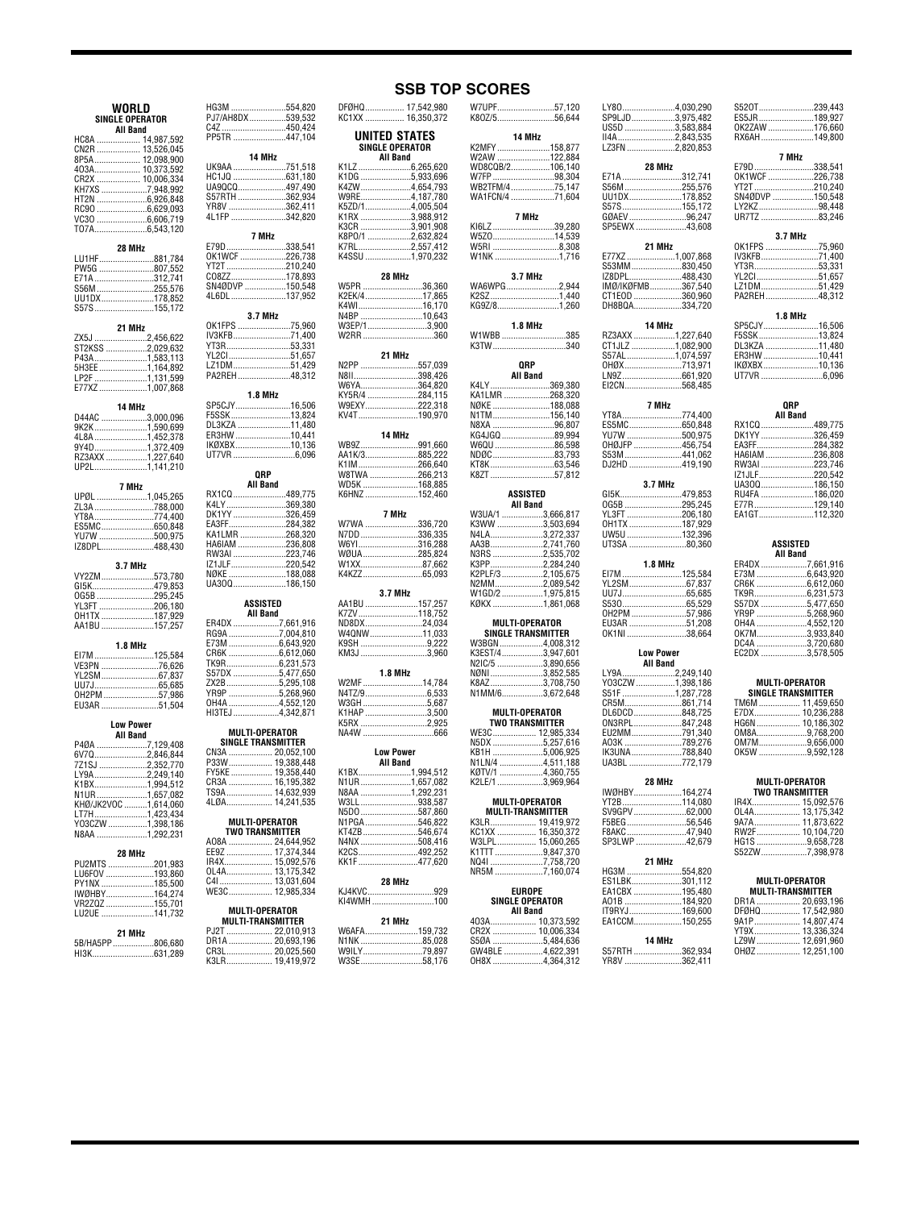| WORLD                                | HG3M 554,820<br>PJ7/AH8DX 539,532 |  |
|--------------------------------------|-----------------------------------|--|
| <b>SINGLE OPERATOR</b>               |                                   |  |
|                                      | C4Z450,424                        |  |
| <b>All Band</b>                      | PP5TR 447,104                     |  |
| HC8A  14,987,592<br>CN2R  13,526,045 |                                   |  |
|                                      |                                   |  |
| 8P5A 12,098,900                      | 14 MHz                            |  |
| 403A 10,373,592                      | UK9AA 751,518                     |  |
| CR2X  10,006,334                     | HC1JQ 631,180                     |  |
| KH7XS 7,948,992<br>HT2N 6,926,848    | UA9QCQ497,490                     |  |
|                                      | S57RTH 362,934                    |  |
|                                      | YR8V 362,411                      |  |
| RC90 6,629,093                       | 4L1FP 342,820                     |  |
| VC30 6,606,719                       |                                   |  |
| T07A6,543,120                        |                                   |  |
|                                      | 7 MHz                             |  |
| 28 MHz                               | E79D338,541                       |  |
| LU1HF881,784                         | OK1WCF 226,738                    |  |
| PW5G 807,552                         | YT2T 210,240                      |  |
| E71A312.741                          | CO8ZZ178,893                      |  |
|                                      | SN4ØDVP 150,548<br>4L6DL 137,952  |  |
| S56M255,576                          |                                   |  |
| UU1DX178,852                         |                                   |  |
| S57S155,172                          |                                   |  |
|                                      | 3.7 MHz                           |  |
| 21 MHz                               | 0K1FPS 75,960                     |  |
| ZX5J 2,456,622                       | IV3KFB71,400                      |  |
| ST2KSS 2,029,632                     | YT3R53,331                        |  |
| P43A1,583,113                        | YL2CI51,657                       |  |
|                                      | LZ1DM51,429                       |  |
|                                      | PA2REH48,312                      |  |
| 5H3EE1,164,892<br>LP2F1,131,599      |                                   |  |
| E77XZ1,007,868                       |                                   |  |
|                                      | 1.8 MHz                           |  |
| 14 MHz                               | SP5CJY16,506                      |  |
| D44AC 3,000,096                      | F5SSK13,824                       |  |
| 9K2K1,590,699                        | DL3KZA 11,480                     |  |
|                                      | ER3HW 10,441                      |  |
|                                      |                                   |  |
| 9Y4D1,372,409                        | IKØXBX10,136                      |  |
| RZ3AXX 1,227,640                     | UT7VR 6.096                       |  |
| UP2L1,141,210                        |                                   |  |
|                                      | QRP                               |  |
| 7 MHz                                | All Band                          |  |
| UPØL 1,045,265                       | RX1CQ 489,775                     |  |
|                                      | K4LY369,380                       |  |
| ZL3A 788,000                         | DK1YY 326,459                     |  |
| YT8A774,400                          |                                   |  |
| ES5MC650,848                         | EA3FF284,382                      |  |
| YU7W 500,975                         | KA1LMR 268,320                    |  |
| IZ8DPL488,430                        | HA6IAM 236,808                    |  |
|                                      | RW3AI 223,746                     |  |
| 3.7 MHz                              | IZ1JLF220,542                     |  |
|                                      | NØKE 188,088                      |  |
| VY2ZM573,780                         | UA300186,150                      |  |
| GI5K479,853                          |                                   |  |
| 0G5B 295,245                         |                                   |  |
| YL3FT 206,180                        | ASSISTED                          |  |
|                                      | All Band                          |  |
| AA1BU 157,257                        | ER4DX 7,661,916                   |  |
|                                      | RG9A 7,004,810<br>E73M 6,643,920  |  |
| 1.8 MHz                              |                                   |  |
| EI7M 125,584                         | CR6K 6,612,060                    |  |
|                                      | TK9R6,231,573                     |  |
| VE3PN 76,626                         | S57DX 5,477,650                   |  |
|                                      |                                   |  |
|                                      | ZX2B5,295,108                     |  |
| OH2PM 57,986                         |                                   |  |
| EU3AR 51,504                         | YR9P 5,268,960<br>0H4A 4,552,120  |  |
|                                      | HI3TEJ4,342,871                   |  |
| <b>Low Power</b>                     |                                   |  |
| <b>All Band</b>                      | <b>MULTI-OPERATOR</b>             |  |
| P4ØA 7,129,408                       | <b>SINGLE TRANSMITTER</b>         |  |
| 6V7Q2,846,844                        | CN3A  20,052,100                  |  |
| 7Z1SJ 2,352,770                      |                                   |  |
|                                      | FY5KE  19,358,440                 |  |
| LY9A2,249,140                        |                                   |  |
| K1BX1,994,512                        | CR3A  16,195,382                  |  |
|                                      | TS9A 14,632,939                   |  |
|                                      | 4LØA 14,241,535                   |  |
| LT7H1,423,434                        |                                   |  |
| Y03CZW 1,398,186                     | <b>MULTI-OPERATOR</b>             |  |
| N8AA 1,292,231                       | <b>TWO TRANSMITTER</b>            |  |
|                                      | A08A  24,644,952                  |  |
| 28 MHz                               | EE9Z  17,374,344                  |  |
|                                      | IR4X 15,092,576                   |  |
| PU2MTS 201,983                       |                                   |  |
| LU6FOV 193,860                       |                                   |  |
| PY1NX 185,500                        |                                   |  |
| IWØHBY164,274                        |                                   |  |
| VR2ZQZ 155,701                       |                                   |  |
| LU2UE 141,732                        | MULTI-OPERATOR                    |  |
|                                      |                                   |  |

| 21 MH <sub>7</sub> |  |
|--------------------|--|
| 5B/HA5PP806,680    |  |
|                    |  |

LU<sub>2</sub>UE

| LZ1DM51,429                         | N <sub>2</sub> P                     |
|-------------------------------------|--------------------------------------|
| PA2REH 48,312                       | N8II<br>W6Y                          |
| <b>1.8 MHz</b>                      | KY <sub>5</sub>                      |
| SP5CJY16,506                        | W9E                                  |
| F5SSK13,824                         | KV4                                  |
| DL3KZA 11,480                       |                                      |
| ER3HW 10,441                        |                                      |
| IKØXBX10,136                        | <b>WBS</b><br>AA1                    |
|                                     | K <sub>1</sub> IN                    |
| QRP                                 | W8T                                  |
| <b>All Band</b>                     | WD5                                  |
| RX1CQ489,775                        | K6H                                  |
| K4LY369,380                         |                                      |
| DK1YY326,459<br>EA3FF284,382        | W7V                                  |
| KA1LMR 268,320                      | N7D                                  |
| HA6IAM 236,808                      | W <sub>6</sub>                       |
| RW3AI 223,746                       | wøi                                  |
| IZ1JLF220,542                       | W <sub>1</sub>                       |
| NØKE 188,088                        | K4K                                  |
| UA300186,150                        |                                      |
| ASSISTED                            | AA1                                  |
| <b>All Band</b>                     | K7Z                                  |
| ER4DX 7,661,916                     | ND8                                  |
| RG9A 7,004,810                      | W40                                  |
| E73M 6,643,920<br>CR6K 6,612,060    | K9S<br>KM3                           |
| TK9R6,231,573                       |                                      |
| S57DX 5,477,650                     |                                      |
| ZX2B5,295,108                       | W2N                                  |
| YR9P 5,268,960                      | N4T.                                 |
| OH4A 4,552,120                      | W <sub>3</sub> C                     |
| HI3TEJ 4,342,871                    | K <sub>1</sub> H<br>K <sub>5</sub> R |
| <b>MULTI-OPERATOR</b>               | NA4                                  |
| <b>SINGLE TRANSMITTER</b>           |                                      |
| CN3A  20,052,100                    |                                      |
| P33W 19,388,448                     |                                      |
| FY5KE  19,358,440                   | K1B                                  |
| CR3A  16,195,382<br>TS9A 14,632,939 | N <sub>1</sub> U<br>N <sub>8</sub> A |
| 4LØA 14,241,535                     | W3L                                  |
|                                     | N5D                                  |
| MULTI-OPERATOR                      | N <sub>1</sub> P                     |
| <b>TWO TRANSMITTER</b>              | <b>KTA</b>                           |

| <b>MULTI-OPERATOR</b><br><b>TWO TRANSMITTER</b> |
|-------------------------------------------------|
| A08A  24.644.952                                |
| EE9Z  17,374,344                                |

| IR4X 15.092.576 |  |
|-----------------|--|
| OL4A 13.175.342 |  |
| C4I  13.031.604 |  |
| WE3C 12.985.334 |  |
|                 |  |

| MULTI-OPERATOR           |                  |  |
|--------------------------|------------------|--|
| <b>MULTI-TRANSMITTER</b> |                  |  |
|                          | PJ2T  22.010.913 |  |
|                          | DR1A  20,693,196 |  |
|                          | CR3L 20,025,560  |  |
|                          | K3LR 19.419.972  |  |

|                                                                                                         | SINGLE OPERATOR<br>All Band         | UNITED STATES |  |
|---------------------------------------------------------------------------------------------------------|-------------------------------------|---------------|--|
| K1LZ 6,265,620<br>K4ZW4,654,793<br>K8P0/1 2,632,824<br>K4SSU 1,970,232                                  |                                     |               |  |
| W5PR 36,360<br>K2EK/417,865                                                                             | 28 MHz                              |               |  |
| N2PP 557,039<br>W9EXY222,318<br>KV4T190,970                                                             | 21 MHz<br>14 MHz                    |               |  |
| WB9Z991,660<br>AA1K/3885,222<br>K1IM266,640<br>W8TWA 266,213<br>.<br>168,885 168,885<br>152,460 152,460 |                                     |               |  |
| W7WA 336,720<br>N7DD 336,335<br>W6YI316,288                                                             | 7 MHz                               |               |  |
| W4QNW11,033<br>K9SH 9,222<br>KM3J 3,960<br>W2MF14,784                                                   | 3.7 MHz<br>1.8 MHz                  |               |  |
| W3GH 5,687<br>K1HAP 3,500<br>K5RX 2,925<br>NA4W 666                                                     |                                     |               |  |
| K1BX1,994,512<br>N5DO 587,860<br>N1PGA546,822<br>KT4ZB546,674<br>N4NX 508,416                           | <b>Low Power</b><br><b>All Band</b> |               |  |
| KI4WMH100                                                                                               | 28 MHz<br>21 MHz                    |               |  |
| <b>W6AFA</b>                                                                                            |                                     | 159 732       |  |

N1NK ...........................85,028 W9ILY..........................79,897 W3SE...........................58,176

|      | 14 MHz                                              |
|------|-----------------------------------------------------|
|      | K2MFY158,877                                        |
|      | W2AW 122,884                                        |
|      |                                                     |
|      | WB2TFM/475,147                                      |
|      | WA1FCN/4 71,604                                     |
|      | 7 MHz                                               |
|      | KI6LZ 39,280                                        |
|      | W5Z014,539                                          |
|      | W5RI 8,308                                          |
|      | W1NK 1,716                                          |
|      | 3.7 MHz                                             |
|      | WA6WPG2,944                                         |
|      | K2SZ1,440<br>KG9Z/81,260                            |
|      |                                                     |
|      | <b>1.8 MHz</b>                                      |
|      | W1WBB 385<br>K3TW340                                |
|      |                                                     |
|      | <b>QRP</b><br>All Band                              |
|      | K4LY369,380                                         |
|      | KA1LMR 268,320                                      |
|      | NØKE 188,088<br>N1TM 156,140                        |
|      | N8XA 96,807                                         |
|      | KG4JGQ 89,994                                       |
|      | W6QU 86,598                                         |
|      | NDØC83,793                                          |
|      |                                                     |
|      |                                                     |
|      | ASSISTED                                            |
|      | <b>All Band</b><br>W3UA/1 3,666,817                 |
|      | K3WW 3,503,694                                      |
|      | N4LA3,272,337                                       |
|      | AA3B2,741,760                                       |
|      |                                                     |
|      | K3PP2,284,240<br>K2PLF/3 2,105,675                  |
|      | N2MM2,089,542                                       |
|      | W1GD/21,975,815                                     |
|      | KØKX 1,861,068                                      |
|      | <b>MULTI-OPERATOR</b>                               |
|      | <b>SINGLE TRANSMITTER</b>                           |
|      | W3BGN4,008,312                                      |
|      | N2IC/5 3,890,656                                    |
|      | NØNI 3,852,585                                      |
|      | K8AZ3,708,750                                       |
|      | N1MM/63,672,648                                     |
|      | <b>MULTI-OPERATOR</b>                               |
|      | <b>TWO TRANSMITTER</b><br>WE3C 12,985,334           |
|      | N5DX 5,257,616                                      |
|      | KB1H 5,006,925                                      |
|      | N1LN/4 4,511,188<br>KØTV/1 4,360,755                |
|      | K2LE/1 3,969,964                                    |
|      |                                                     |
|      | <b>MULTI-OPERATOR</b><br><b>IIII TI-TRANSMITTER</b> |
|      |                                                     |
|      |                                                     |
|      |                                                     |
|      | 9,847,370<br>NQ4I 7,758,720                         |
|      | NR5M 7,160,074                                      |
|      |                                                     |
|      | <b>EUROPE</b><br><b>SINGLE OPERATOR</b>             |
|      | <b>All Band</b>                                     |
|      | 403A 10,373,592<br>CR2X  10,006,334                 |
| S5ØA | 5,484,636                                           |
|      | GW4BLE 4,622,391                                    |
| OH8X | 4.364.312                                           |

| 57,120                                 | LY804,030,290                     |        |
|----------------------------------------|-----------------------------------|--------|
| 56,644                                 | SP9LJD3,975,482<br>US5D 3,583,884 |        |
| 4 MHz                                  | II4A2,843,535                     |        |
| 158,877                                | LZ3FN 2,820,853                   |        |
| 122,884                                |                                   |        |
| 106,140<br>98,304                      | 28 MHz<br>E71A 312,741            |        |
| 75,147                                 | S56M255,576                       |        |
| 71,604                                 | UU1DX178,852                      |        |
|                                        | S57S155,172<br>GØAEV96,247        |        |
| 7 MHz<br>39,280                        | SP5EWX 43,608                     |        |
| 14,539                                 |                                   |        |
| 8,308                                  | 21 MHz                            |        |
| 1,716                                  | E77XZ 1,007,868                   |        |
| .7 MHz                                 | S53MM830,450<br>IZ8DPL488,430     |        |
| 2,944                                  | IMØ/IKØFMB367,540                 |        |
| 1,440                                  | CT1EOD 360,960                    |        |
| 1,260                                  | DH8BQA334,720                     |        |
| 8 MHz                                  | 14 MHz                            |        |
| 385                                    | RZ3AXX 1,227,640                  |        |
| 340                                    | CT1JLZ 1,082,900                  |        |
|                                        | S57AL1,074,597                    |        |
| QRP<br>ll Band                         | OHØX713,971<br>LN9Z661,920        |        |
| 369,380                                | EI2CN568,485                      |        |
| 268,320                                |                                   |        |
| 188,088                                | 7 MHz                             |        |
| 156,140                                | YT8A774,400                       |        |
| 96,807<br>89,994                       | ES5MC650,848<br>YU7W 500,975      |        |
| 86,598                                 | OHØJFP 456,754                    |        |
| 83,793                                 | S53M441,062                       |        |
| 63,546                                 | DJ2HD 419,190                     |        |
| 57,812                                 | 3.7 MHz                           |        |
| SISTED                                 | GI5K479,853                       |        |
| ll Band                                | 0G5B 295,245                      |        |
| 3,666,817<br>3,503,694                 | YL3FT 206,180<br>OH1TX 187,929    |        |
| 3,272,337                              | UW5U132,396                       |        |
| 2,741,760                              | UT3SA 80,360                      |        |
| 2,535,702                              |                                   |        |
| 2,284,240                              | 1.8 MHz                           |        |
| 2,105,675<br>2,089,542                 | EI7M125,584<br>YL2SM67,837        |        |
| 1,975,815                              | UU7J65,685                        |        |
| 1,861,068                              |                                   |        |
|                                        | 0H2PM 57,986<br>EU3AR 51,208      |        |
| -OPERATOR<br><b><i>FRANSMITTER</i></b> | OK1NI38,664                       |        |
| 4,008,312                              |                                   |        |
| 3,947,601                              | <b>Low Power</b>                  |        |
| 3,890,656<br>3,852,585                 | <b>All Band</b><br>LY9A2,249,140  |        |
| 3,708,750                              | Y03CZW 1,398,186                  |        |
| 3,672,648                              | S51F 1,287,728                    |        |
|                                        | CR5M861,714                       |        |
| -OPERATOR<br><b>ANSMITTER</b>          | DL6DCD848,725<br>0N3RPL847,248    |        |
|                                        | EU2MM791,340                      |        |
| 12,985,334<br>5,257,616                | A03K 789,276                      |        |
| 5,006,925                              | IK3UNA788,840                     |        |
| 4,511,188<br>$\ldots$ 4,360,755        | UA3BL 772,179                     |        |
| 3,969,964                              | 28 MHz                            |        |
|                                        | IWØHBY164,274                     |        |
| -OPERATOR                              | YT2B114,080                       |        |
| RANSMITTER<br>19,419,972               | SV9GPV62,000<br>F5BEG56,546       |        |
| 16,350,372                             | F8AKC47,940                       |        |
| 15,060,265                             | SP3LWP 42,679                     |        |
| 9,847,370<br>7,758,720                 |                                   |        |
| 7,160,074                              | 21 MHz<br>HG3M 554,820            |        |
|                                        | ES1LBK301,112                     |        |
| UROPE                                  | EA1CBX 195,480                    |        |
| OPERATOR                               | A01B 184,920                      |        |
| II Band                                | IT9RYJ169,600<br>EA1CCM150,255    |        |
| 10,373,592<br>10,006,334               |                                   |        |
| 5,484,636                              | 14 MHz                            |        |
| 4,622,391                              | S57RTH 362,934                    | 362411 |
| 4.364.312                              | YR8V.                             |        |

| 7 MHz                            |  |
|----------------------------------|--|
| E79D338,541                      |  |
| OK1WCF 226,738                   |  |
| YT2T210,240                      |  |
| SN4ØDVP 150,548                  |  |
| LY2KZ98,448<br>UR7TZ 83,246      |  |
|                                  |  |
| 3.7 MHz                          |  |
| 0K1FPS 75,960                    |  |
| IV3KFB71,400                     |  |
| YT3R53,331<br>YL2Cl51,657        |  |
|                                  |  |
| .<br>LZ1DM51,429<br>PA2REH48,312 |  |
|                                  |  |
| 1.8 MHz<br>SP5CJY16,506          |  |
| F5SSK13,824                      |  |
| DL3KZA 11,480                    |  |
| ER3HW 10,441                     |  |
| IKØXBX10,136                     |  |
| UT7VR 6,096                      |  |
|                                  |  |
| 0RP                              |  |
| <b>All Band</b>                  |  |
| RX1CQ 489,775                    |  |
| DK1YY 326,459<br>EA3FF284,382    |  |
| HA6IAM 236,808                   |  |
| RW3AI 223,746<br>IZ1JLF220,542   |  |
|                                  |  |
| UA300186,150                     |  |
| RU4FA 186,020<br>E77R129,140     |  |
| EA1GT112,320                     |  |
|                                  |  |
|                                  |  |
| <b>ASSISTED</b>                  |  |
| All Band<br>ER4DX 7,661,916      |  |
|                                  |  |

S52OT........................239,443<br>ES5JR ..........................189,927<br>OK2ZAW ....................176.660 RX6AH.......................149,800

| E73M 6.643.920  |  |
|-----------------|--|
|                 |  |
| TK9R6,231,573   |  |
| S57DX 5.477.650 |  |
| YR9P 5.268.960  |  |
| OH4A 4,552,120  |  |
| OK7M3.933.840   |  |
| DC4A 3,720,680  |  |
| EC2DX 3.578.505 |  |
|                 |  |

## **MULTI-OPERATOR SINGLE TRANSMITTER**

| SINGLE INANSIVIIIIEN |  |  |
|----------------------|--|--|
| TM6M  11.459.650     |  |  |
| E7DX 10.236.288      |  |  |
| HG6N 10,186,302      |  |  |
| 0M8A9,768,200        |  |  |
| 0M7M9,656,000        |  |  |
| OK5W 9.592.128       |  |  |
|                      |  |  |

| MULTI-OPERATOR  |
|-----------------|
| TWO TRANSMITTER |

| .               |  |
|-----------------|--|
|                 |  |
| OL4A 13.175.342 |  |
| 9A7A 11.873.622 |  |
| RW2F 10.104.720 |  |
| HG1S 9.658.728  |  |
| S52ZW7,398.978  |  |

## **MULTI-OPERATOR MULTI-TRANSMITTER**

| <b>MULII-IKANSMIIIEK</b> |
|--------------------------|
| DR1A  20,693.196         |
| DFØHQ 17.542.980         |
| 9A1P 14.807.474          |
| YT9X 13,336.324          |
| LZ9W  12,691.960         |
| OHØZ 12.251.100          |
|                          |

#### DFØHQ................. 17,542,980<br>KC1XX ................. 16,350,372 W7UPF... **SSB TOP SCORES**

K80Z/5.........

...... 17,542,566<br>16,350,372.......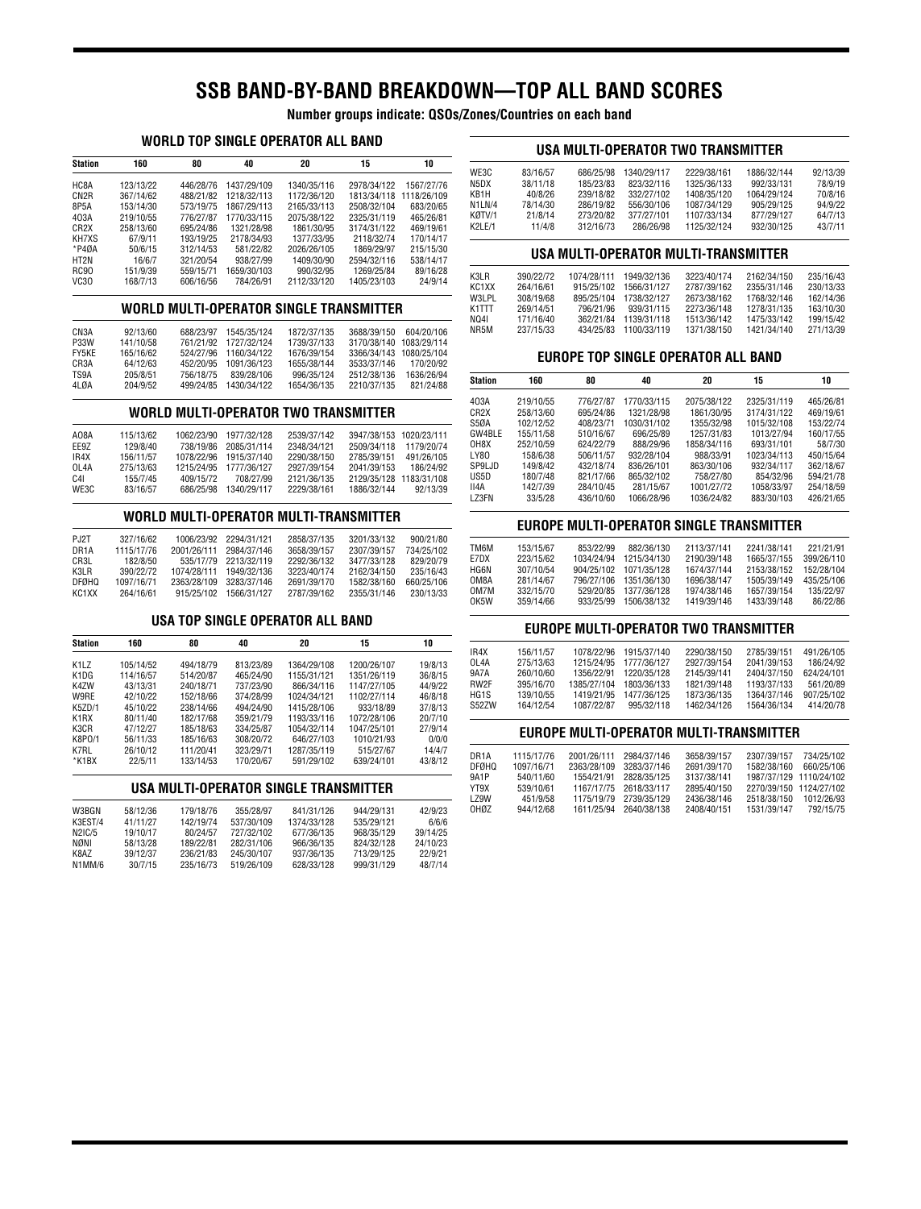# **SSB BAND-BY-BAND BREAKDOWN—TOP ALL BAND SCORES**

**Number groups indicate: QSOs/Zones/Countries on each band**

#### **WORLD TOP SINGLE OPERATOR ALL BAND**

| <b>Station</b>    | 160       | 80        | 40          | 20          | 15          | 10          |
|-------------------|-----------|-----------|-------------|-------------|-------------|-------------|
| HC8A              | 123/13/22 | 446/28/76 | 1437/29/109 | 1340/35/116 | 2978/34/122 | 1567/27/76  |
| CN <sub>2</sub> R | 367/14/62 | 488/21/82 | 1218/32/113 | 1172/36/120 | 1813/34/118 | 1118/26/109 |
| 8P5A              | 153/14/30 | 573/19/75 | 1867/29/113 | 2165/33/113 | 2508/32/104 | 683/20/65   |
| 403A              | 219/10/55 | 776/27/87 | 1770/33/115 | 2075/38/122 | 2325/31/119 | 465/26/81   |
| CR <sub>2</sub> X | 258/13/60 | 695/24/86 | 1321/28/98  | 1861/30/95  | 3174/31/122 | 469/19/61   |
| KH7XS             | 67/9/11   | 193/19/25 | 2178/34/93  | 1377/33/95  | 2118/32/74  | 170/14/17   |
| $*P40A$           | 50/6/15   | 312/14/53 | 581/22/82   | 2026/26/105 | 1869/29/97  | 215/15/30   |
| HT2N              | 16/6/7    | 321/20/54 | 938/27/99   | 1409/30/90  | 2594/32/116 | 538/14/17   |
| <b>RC90</b>       | 151/9/39  | 559/15/71 | 1659/30/103 | 990/32/95   | 1269/25/84  | 89/16/28    |
| VC <sub>30</sub>  | 168/7/13  | 606/16/56 | 784/26/91   | 2112/33/120 | 1405/23/103 | 24/9/14     |

### **WORLD MULTI-OPERATOR SINGLE TRANSMITTER**

| CN <sub>3</sub> A | 92/13/60  | 688/23/97 | 1545/35/124 | 1872/37/135 | 3688/39/150             | 604/20/106  |
|-------------------|-----------|-----------|-------------|-------------|-------------------------|-------------|
| <b>P33W</b>       | 141/10/58 | 761/21/92 | 1727/32/124 | 1739/37/133 | 3170/38/140             | 1083/29/114 |
| FY5KE             | 165/16/62 | 524/27/96 | 1160/34/122 | 1676/39/154 | 3366/34/143 1080/25/104 |             |
| CR3A              | 64/12/63  | 452/20/95 | 1091/36/123 | 1655/38/144 | 3533/37/146             | 170/20/92   |
| TS9A              | 205/8/51  | 756/18/75 | 839/28/106  | 996/35/124  | 2512/38/136             | 1636/26/94  |
| 4LDA              | 204/9/52  | 499/24/85 | 1430/34/122 | 1654/36/135 | 2210/37/135             | 821/24/88   |

#### **WORLD MULTI-OPERATOR TWO TRANSMITTER**

| AO8A              | 115/13/62 | 1062/23/90 | 1977/32/128 | 2539/37/142 | 3947/38/153 1020/23/111 |            |
|-------------------|-----------|------------|-------------|-------------|-------------------------|------------|
| EF9Z              | 129/8/40  | 738/19/86  | 2085/31/114 | 2348/34/121 | 2509/34/118             | 1179/20/74 |
| IR4X              | 156/11/57 | 1078/22/96 | 1915/37/140 | 2290/38/150 | 2785/39/151             | 491/26/105 |
| OL <sub>4</sub> A | 275/13/63 | 1215/24/95 | 1777/36/127 | 2927/39/154 | 2041/39/153             | 186/24/92  |
| C <sub>4</sub> I  | 155/7/45  | 409/15/72  | 708/27/99   | 2121/36/135 | 2129/35/128 1183/31/108 |            |
| WE3C              | 83/16/57  | 686/25/98  | 1340/29/117 | 2229/38/161 | 1886/32/144             | 92/13/39   |

#### **WORLD MULTI-OPERATOR MULTI-TRANSMITTER**

| PJ2T              | 327/16/62  | 1006/23/92  | 2294/31/121 | 2858/37/135 | 3201/33/132 | 900/21/80  |
|-------------------|------------|-------------|-------------|-------------|-------------|------------|
| DR <sub>1</sub> A | 1115/17/76 | 2001/26/111 | 2984/37/146 | 3658/39/157 | 2307/39/157 | 734/25/102 |
| CR3L              | 182/8/50   | 535/17/79   | 2213/32/119 | 2292/36/132 | 3477/33/128 | 829/20/79  |
| K3I R             | 390/22/72  | 1074/28/111 | 1949/32/136 | 3223/40/174 | 2162/34/150 | 235/16/43  |
| <b>DFØHO</b>      | 1097/16/71 | 2363/28/109 | 3283/37/146 | 2691/39/170 | 1582/38/160 | 660/25/106 |
| KC1XX             | 264/16/61  | 915/25/102  | 1566/31/127 | 2787/39/162 | 2355/31/146 | 230/13/33  |

#### **USA TOP SINGLE OPERATOR ALL BAND**

| <b>Station</b>                | 160       | 80        | 40        | 20          | 15          | 10      |
|-------------------------------|-----------|-----------|-----------|-------------|-------------|---------|
| K <sub>1</sub> L <sub>Z</sub> | 105/14/52 | 494/18/79 | 813/23/89 | 1364/29/108 | 1200/26/107 | 19/8/13 |
| K <sub>1</sub> D <sub>G</sub> | 114/16/57 | 514/20/87 | 465/24/90 | 1155/31/121 | 1351/26/119 | 36/8/15 |
| K4ZW                          | 43/13/31  | 240/18/71 | 737/23/90 | 866/34/116  | 1147/27/105 | 44/9/22 |
| W9RE                          | 42/10/22  | 152/18/66 | 374/28/99 | 1024/34/121 | 1102/27/114 | 46/8/18 |
| K5ZD/1                        | 45/10/22  | 238/14/66 | 494/24/90 | 1415/28/106 | 933/18/89   | 37/8/13 |
| K1RX                          | 80/11/40  | 182/17/68 | 359/21/79 | 1193/33/116 | 1072/28/106 | 20/7/10 |
| K3CR                          | 47/12/27  | 185/18/63 | 334/25/87 | 1054/32/114 | 1047/25/101 | 27/9/14 |
| K8P0/1                        | 56/11/33  | 185/16/63 | 308/20/72 | 646/27/103  | 1010/21/93  | 0/0/0   |
| K7RL                          | 26/10/12  | 111/20/41 | 323/29/71 | 1287/35/119 | 515/27/67   | 14/4/7  |
| *K1BX                         | 22/5/11   | 133/14/53 | 170/20/67 | 591/29/102  | 639/24/101  | 43/8/12 |

### **USA MULTI-OPERATOR SINGLE TRANSMITTER**

| W3BGN   | 58/12/36 | 179/18/76 | 355/28/97  | 841/31/126  | 944/29/131 | 42/9/23  |
|---------|----------|-----------|------------|-------------|------------|----------|
| K3EST/4 | 41/11/27 | 142/19/74 | 537/30/109 | 1374/33/128 | 535/29/121 | 6/6/6    |
| N2IC/5  | 19/10/17 | 80/24/57  | 727/32/102 | 677/36/135  | 968/35/129 | 39/14/25 |
| NØNI    | 58/13/28 | 189/22/81 | 282/31/106 | 966/36/135  | 824/32/128 | 24/10/23 |
| K8AZ    | 39/12/37 | 236/21/83 | 245/30/107 | 937/36/135  | 713/29/125 | 22/9/21  |
| N1MM/6  | 30/7/15  | 235/16/73 | 519/26/109 | 628/33/128  | 999/31/129 | 48/7/14  |

#### **USA MULTI-OPERATOR TWO TRANSMITTER**

| WE3C   | 83/16/57 | 686/25/98 | 1340/29/117 | 2229/38/161 | 1886/32/144 | 92/13/39 |
|--------|----------|-----------|-------------|-------------|-------------|----------|
| N5DX   | 38/11/18 | 185/23/83 | 823/32/116  | 1325/36/133 | 992/33/131  | 78/9/19  |
| KB1H   | 40/8/26  | 239/18/82 | 332/27/102  | 1408/35/120 | 1064/29/124 | 70/8/16  |
| N1LN/4 | 78/14/30 | 286/19/82 | 556/30/106  | 1087/34/129 | 905/29/125  | 94/9/22  |
| KØTV/1 | 21/8/14  | 273/20/82 | 377/27/101  | 1107/33/134 | 877/29/127  | 64/7/13  |
| K2LE/1 | 11/4/8   | 312/16/73 | 286/26/98   | 1125/32/124 | 932/30/125  | 43/7/11  |
|        |          |           |             |             |             |          |

#### **USA MULTI-OPERATOR MULTI-TRANSMITTER**

| K3LR  | 390/22/72 | 1074/28/111 | 1949/32/136 | 3223/40/174 | 2162/34/150 | 235/16/43 |
|-------|-----------|-------------|-------------|-------------|-------------|-----------|
| KC1XX | 264/16/61 | 915/25/102  | 1566/31/127 | 2787/39/162 | 2355/31/146 | 230/13/33 |
| W3LPL | 308/19/68 | 895/25/104  | 1738/32/127 | 2673/38/162 | 1768/32/146 | 162/14/36 |
| K1TTT | 269/14/51 | 796/21/96   | 939/31/115  | 2273/36/148 | 1278/31/135 | 163/10/30 |
| NO4I  | 171/16/40 | 362/21/84   | 1139/31/118 | 1513/36/142 | 1475/33/142 | 199/15/42 |
| NR5M  | 237/15/33 | 434/25/83   | 1100/33/119 | 1371/38/150 | 1421/34/140 | 271/13/39 |
|       |           |             |             |             |             |           |

#### **EUROPE TOP SINGLE OPERATOR ALL BAND**

| Station           | 160       | 80        | 40          | 20          | 15          | 10        |
|-------------------|-----------|-----------|-------------|-------------|-------------|-----------|
| 403A              | 219/10/55 | 776/27/87 | 1770/33/115 | 2075/38/122 | 2325/31/119 | 465/26/81 |
| CR <sub>2</sub> X | 258/13/60 | 695/24/86 | 1321/28/98  | 1861/30/95  | 3174/31/122 | 469/19/61 |
| S5ØA              | 102/12/52 | 408/23/71 | 1030/31/102 | 1355/32/98  | 1015/32/108 | 153/22/74 |
| GW4BLE            | 155/11/58 | 510/16/67 | 696/25/89   | 1257/31/83  | 1013/27/94  | 160/17/55 |
| OH8X              | 252/10/59 | 624/22/79 | 888/29/96   | 1858/34/116 | 693/31/101  | 58/7/30   |
| LY80              | 158/6/38  | 506/11/57 | 932/28/104  | 988/33/91   | 1023/34/113 | 450/15/64 |
| SP9LJD            | 149/8/42  | 432/18/74 | 836/26/101  | 863/30/106  | 932/34/117  | 362/18/67 |
| US5D              | 180/7/48  | 821/17/66 | 865/32/102  | 758/27/80   | 854/32/96   | 594/21/78 |
| II4A              | 142/7/39  | 284/10/45 | 281/15/67   | 1001/27/72  | 1058/33/97  | 254/18/59 |
| LZ3FN             | 33/5/28   | 436/10/60 | 1066/28/96  | 1036/24/82  | 883/30/103  | 426/21/65 |

#### **EUROPE MULTI-OPERATOR SINGLE TRANSMITTER**

| TM6M | 153/15/67 | 853/22/99  | 882/36/130  | 2113/37/141 | 2241/38/141 | 221/21/91  |
|------|-----------|------------|-------------|-------------|-------------|------------|
| E7DX | 223/15/62 | 1034/24/94 | 1215/34/130 | 2190/39/148 | 1665/37/155 | 399/26/110 |
| HG6N | 307/10/54 | 904/25/102 | 1071/35/128 | 1674/37/144 | 2153/38/152 | 152/28/104 |
| OM8A | 281/14/67 | 796/27/106 | 1351/36/130 | 1696/38/147 | 1505/39/149 | 435/25/106 |
| OM7M | 332/15/70 | 529/20/85  | 1377/36/128 | 1974/38/146 | 1657/39/154 | 135/22/97  |
| OK5W | 359/14/66 | 933/25/99  | 1506/38/132 | 1419/39/146 | 1433/39/148 | 86/22/86   |
|      |           |            |             |             |             |            |

#### **EUROPE MULTI-OPERATOR TWO TRANSMITTER**

| IR4X  | 156/11/57 | 1078/22/96  | 1915/37/140 | 2290/38/150 | 2785/39/151 | 491/26/105 |
|-------|-----------|-------------|-------------|-------------|-------------|------------|
| 01.4A | 275/13/63 | 1215/24/95  | 1777/36/127 | 2927/39/154 | 2041/39/153 | 186/24/92  |
| 9A7A  | 260/10/60 | 1356/22/91  | 1220/35/128 | 2145/39/141 | 2404/37/150 | 624/24/101 |
| RW2F  | 395/16/70 | 1385/27/104 | 1803/36/133 | 1821/39/148 | 1193/37/133 | 561/20/89  |
| HG1S  | 139/10/55 | 1419/21/95  | 1477/36/125 | 1873/36/135 | 1364/37/146 | 907/25/102 |
| S527W | 164/12/54 | 1087/22/87  | 995/32/118  | 1462/34/126 | 1564/36/134 | 414/20/78  |
|       |           |             |             |             |             |            |

#### **EUROPE MULTI-OPERATOR MULTI-TRANSMITTER**

| DR <sub>1</sub> A | 1115/17/76 | 2001/26/111 | 2984/37/146            | 3658/39/157 | 2307/39/157             | 734/25/102 |
|-------------------|------------|-------------|------------------------|-------------|-------------------------|------------|
| <b>DFØHQ</b>      | 1097/16/71 | 2363/28/109 | 3283/37/146            | 2691/39/170 | 1582/38/160             | 660/25/106 |
| 9A1P              | 540/11/60  | 1554/21/91  | 2828/35/125            | 3137/38/141 | 1987/37/129 1110/24/102 |            |
| YT9X              | 539/10/61  |             | 1167/17/75 2618/33/117 | 2895/40/150 | 2270/39/150 1124/27/102 |            |
| LZ9W              | 451/9/58   |             | 1175/19/79 2739/35/129 | 2436/38/146 | 2518/38/150             | 1012/26/93 |
| OHØZ              | 944/12/68  | 1611/25/94  | 2640/38/138            | 2408/40/151 | 1531/39/147             | 792/15/75  |